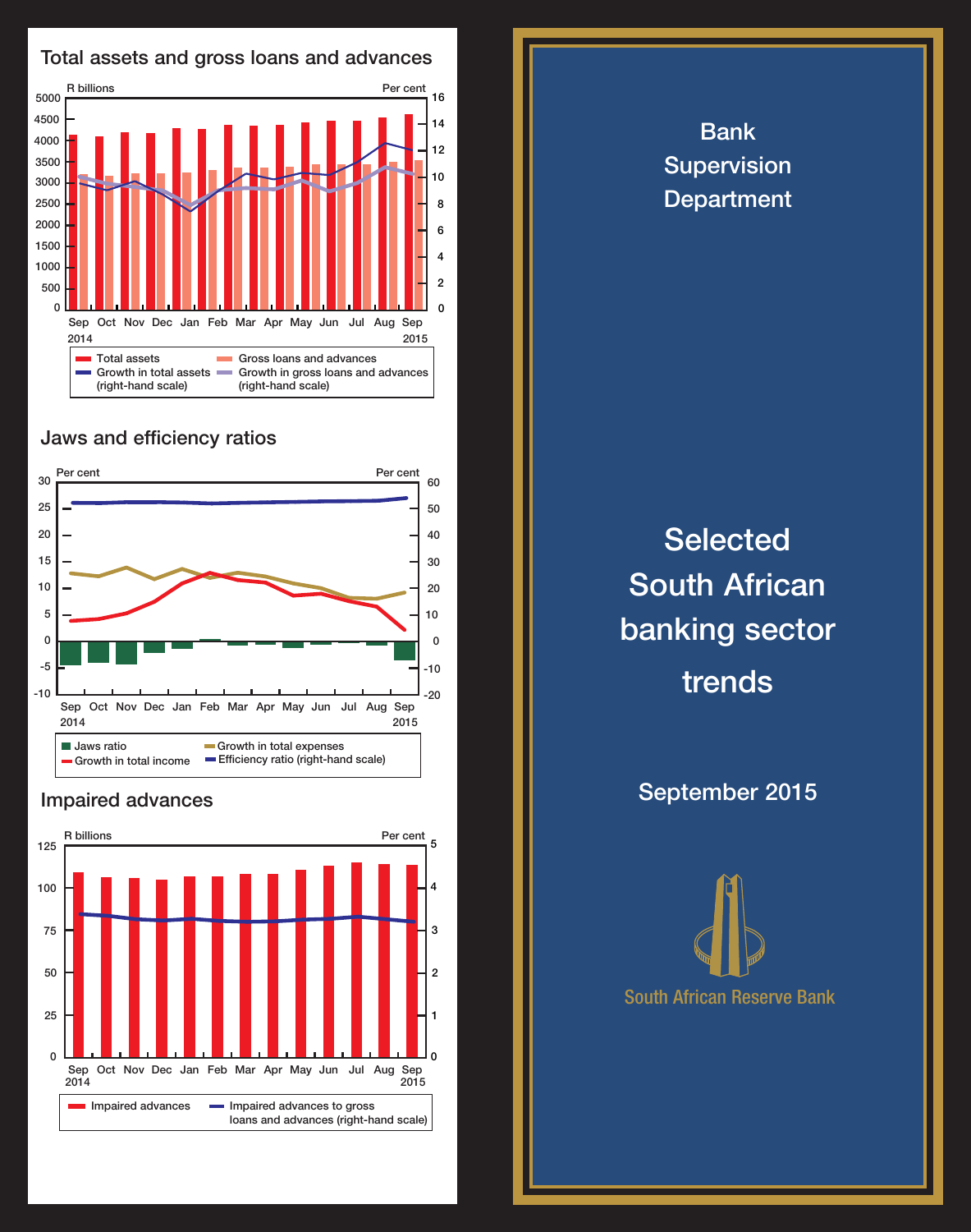

## Jaws and efficiency ratios



## Impaired advances



Bank Supervision **Department** 

## **Selected** South African banking sector trends

September 2015